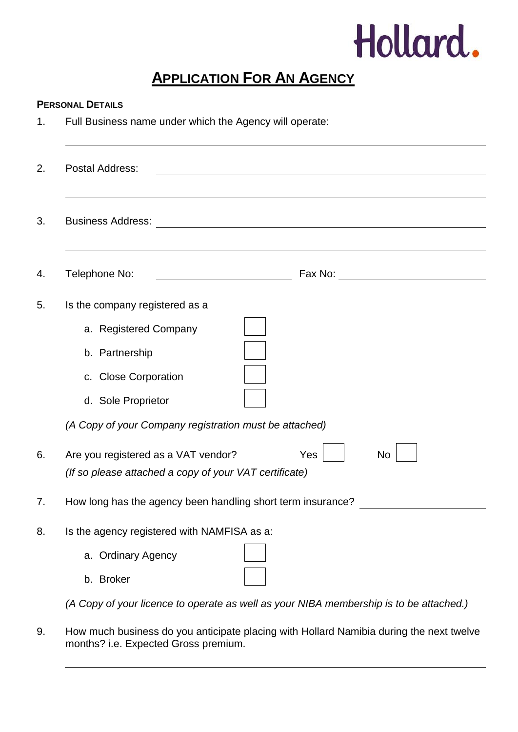

## **APPLICATION FOR AN AGENCY**

## **PERSONAL DETAILS**

1. Full Business name under which the Agency will operate:

|                                | Postal Address:                                                                                            |  |  |
|--------------------------------|------------------------------------------------------------------------------------------------------------|--|--|
|                                | <b>Business Address:</b><br><u> 1980 - Johann Barn, fransk politik (f. 1980)</u>                           |  |  |
|                                | Telephone No:                                                                                              |  |  |
| Is the company registered as a |                                                                                                            |  |  |
|                                | a. Registered Company                                                                                      |  |  |
|                                | b. Partnership                                                                                             |  |  |
|                                | c. Close Corporation                                                                                       |  |  |
|                                | d. Sole Proprietor                                                                                         |  |  |
|                                | (A Copy of your Company registration must be attached)                                                     |  |  |
|                                | Are you registered as a VAT vendor?<br>Yes<br>No<br>(If so please attached a copy of your VAT certificate) |  |  |
|                                | How long has the agency been handling short term insurance?                                                |  |  |
|                                | Is the agency registered with NAMFISA as a:<br>a. Ordinary Agency                                          |  |  |
|                                | b. Broker                                                                                                  |  |  |
|                                | (A Copy of your licence to operate as well as your NIBA membership is to be attached.)                     |  |  |

9. How much business do you anticipate placing with Hollard Namibia during the next twelve months? i.e. Expected Gross premium.